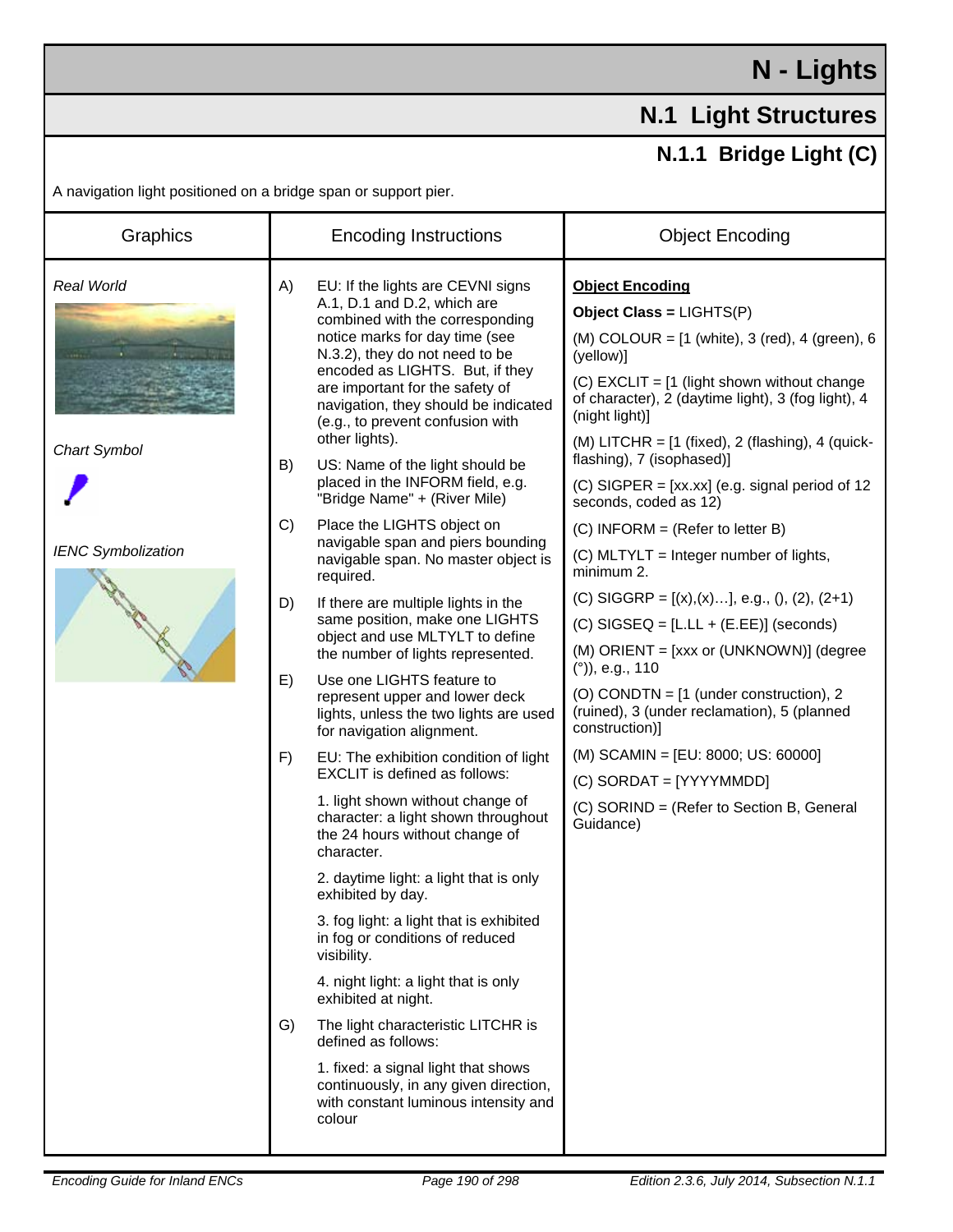## **N - Lights**

## **N.1 Light Structures**

## **N.1.1 Bridge Light (C)**

A navigation light positioned on a bridge span or support pier.

| Graphics                   | <b>Encoding Instructions</b>                                                                                                                                                                                                                                                                                                                                                                                                                                   | <b>Object Encoding</b>                                                                                                                                                                                                                                                                                                                                                                                                |
|----------------------------|----------------------------------------------------------------------------------------------------------------------------------------------------------------------------------------------------------------------------------------------------------------------------------------------------------------------------------------------------------------------------------------------------------------------------------------------------------------|-----------------------------------------------------------------------------------------------------------------------------------------------------------------------------------------------------------------------------------------------------------------------------------------------------------------------------------------------------------------------------------------------------------------------|
| Real World<br>Chart Symbol | EU: If the lights are CEVNI signs<br>A)<br>A.1, D.1 and D.2, which are<br>combined with the corresponding<br>notice marks for day time (see<br>N.3.2), they do not need to be<br>encoded as LIGHTS. But, if they<br>are important for the safety of<br>navigation, they should be indicated<br>(e.g., to prevent confusion with<br>other lights).<br>B)<br>US: Name of the light should be<br>placed in the INFORM field, e.g.<br>"Bridge Name" + (River Mile) | <b>Object Encoding</b><br>Object Class = LIGHTS(P)<br>(M) COLOUR = $[1 \text{ (white)}$ , 3 (red), 4 (green), 6<br>(yellow)]<br>(C) EXCLIT = $[1$ (light shown without change<br>of character), 2 (daytime light), 3 (fog light), 4<br>(night light)]<br>(M) LITCHR = $[1 \text{ (fixed)}, 2 \text{ (flashing)}, 4 \text{ (quick-)}$<br>flashing), 7 (isophased)]<br>(C) SIGPER = $[xx.xx]$ (e.g. signal period of 12 |
| <b>IENC Symbolization</b>  | Place the LIGHTS object on<br>$\mathcal{C}$<br>navigable span and piers bounding<br>navigable span. No master object is<br>required.<br>If there are multiple lights in the<br>D)<br>same position, make one LIGHTS                                                                                                                                                                                                                                            | seconds, coded as 12)<br>$(C)$ INFORM = (Refer to letter B)<br>(C) MLTYLT = Integer number of lights,<br>minimum 2.<br>(C) SIGGRP = $[(x),(x)]$ , e.g., $(), (2), (2+1)$                                                                                                                                                                                                                                              |
|                            | object and use MLTYLT to define<br>the number of lights represented.<br>Use one LIGHTS feature to<br>E)<br>represent upper and lower deck<br>lights, unless the two lights are used<br>for navigation alignment.                                                                                                                                                                                                                                               | $(C)$ SIGSEQ = [L.LL + (E.EE)] (seconds)<br>(M) ORIENT = [xxx or (UNKNOWN)] (degree<br>$(°)$ , e.g., 110<br>(O) CONDTN = [1 (under construction), 2<br>(ruined), 3 (under reclamation), 5 (planned<br>construction)]                                                                                                                                                                                                  |
|                            | EU: The exhibition condition of light<br>F)<br>EXCLIT is defined as follows:<br>1. light shown without change of<br>character: a light shown throughout<br>the 24 hours without change of<br>character.<br>2. daytime light: a light that is only                                                                                                                                                                                                              | (M) SCAMIN = [EU: 8000; US: 60000]<br>(C) SORDAT = [YYYYMMDD]<br>(C) SORIND = (Refer to Section B, General<br>Guidance)                                                                                                                                                                                                                                                                                               |
|                            | exhibited by day.<br>3. fog light: a light that is exhibited<br>in fog or conditions of reduced<br>visibility.<br>4. night light: a light that is only<br>exhibited at night.                                                                                                                                                                                                                                                                                  |                                                                                                                                                                                                                                                                                                                                                                                                                       |
|                            | G)<br>The light characteristic LITCHR is<br>defined as follows:<br>1. fixed: a signal light that shows<br>continuously, in any given direction,<br>with constant luminous intensity and<br>colour                                                                                                                                                                                                                                                              |                                                                                                                                                                                                                                                                                                                                                                                                                       |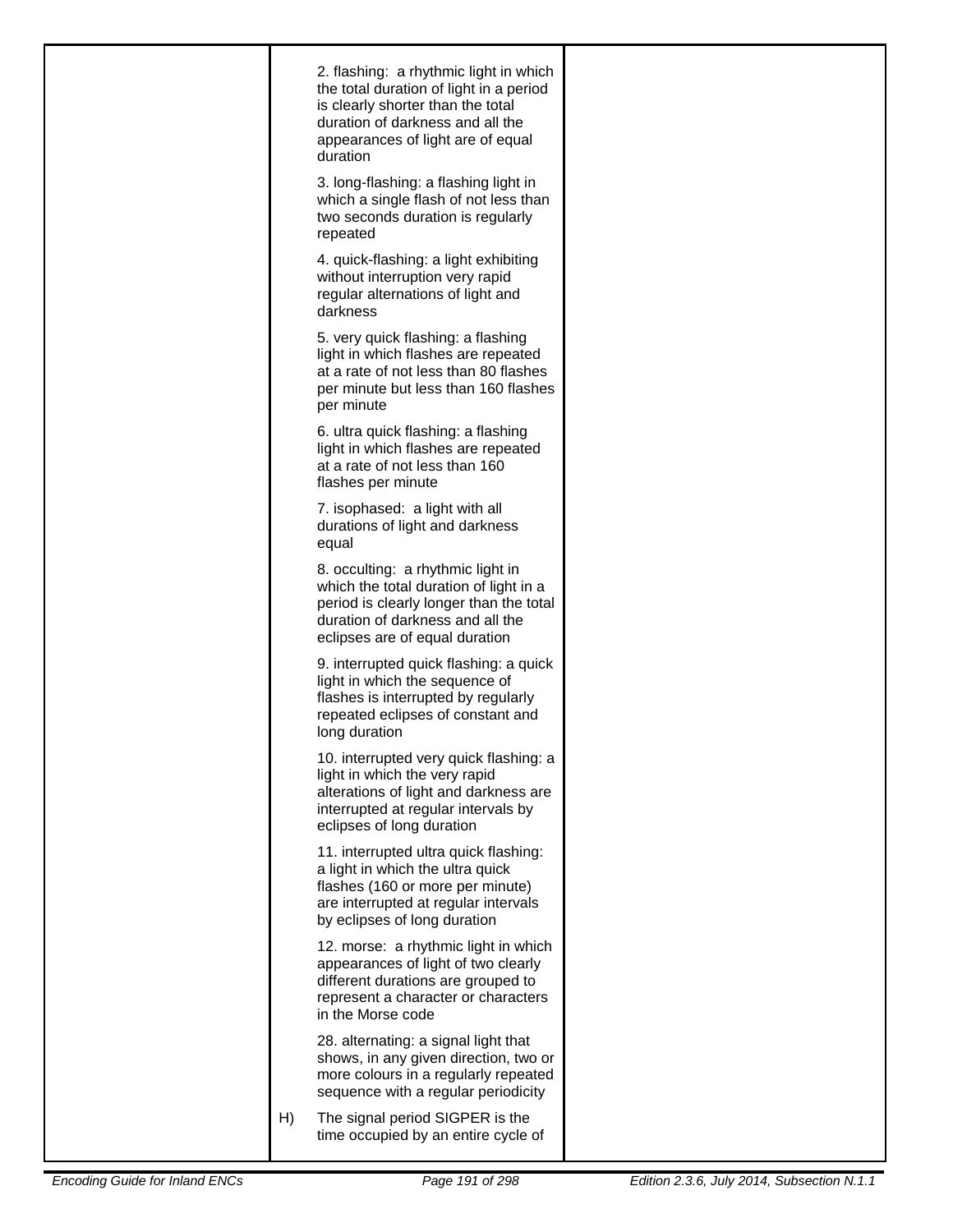| 2. flashing: a rhythmic light in which<br>the total duration of light in a period<br>is clearly shorter than the total<br>duration of darkness and all the<br>appearances of light are of equal<br>duration<br>3. long-flashing: a flashing light in<br>which a single flash of not less than |
|-----------------------------------------------------------------------------------------------------------------------------------------------------------------------------------------------------------------------------------------------------------------------------------------------|
| two seconds duration is regularly<br>repeated<br>4. quick-flashing: a light exhibiting                                                                                                                                                                                                        |
| without interruption very rapid<br>regular alternations of light and<br>darkness                                                                                                                                                                                                              |
| 5. very quick flashing: a flashing<br>light in which flashes are repeated<br>at a rate of not less than 80 flashes<br>per minute but less than 160 flashes<br>per minute                                                                                                                      |
| 6. ultra quick flashing: a flashing<br>light in which flashes are repeated<br>at a rate of not less than 160<br>flashes per minute                                                                                                                                                            |
| 7. isophased: a light with all<br>durations of light and darkness<br>equal                                                                                                                                                                                                                    |
| 8. occulting: a rhythmic light in<br>which the total duration of light in a<br>period is clearly longer than the total<br>duration of darkness and all the<br>eclipses are of equal duration                                                                                                  |
| 9. interrupted quick flashing: a quick<br>light in which the sequence of<br>flashes is interrupted by regularly<br>repeated eclipses of constant and<br>long duration                                                                                                                         |
| 10. interrupted very quick flashing: a<br>light in which the very rapid<br>alterations of light and darkness are<br>interrupted at regular intervals by<br>eclipses of long duration                                                                                                          |
| 11. interrupted ultra quick flashing:<br>a light in which the ultra quick<br>flashes (160 or more per minute)<br>are interrupted at regular intervals<br>by eclipses of long duration                                                                                                         |
| 12. morse: a rhythmic light in which<br>appearances of light of two clearly<br>different durations are grouped to<br>represent a character or characters<br>in the Morse code                                                                                                                 |
| 28. alternating: a signal light that<br>shows, in any given direction, two or<br>more colours in a regularly repeated<br>sequence with a regular periodicity                                                                                                                                  |
| The signal period SIGPER is the<br>H)<br>time occupied by an entire cycle of                                                                                                                                                                                                                  |